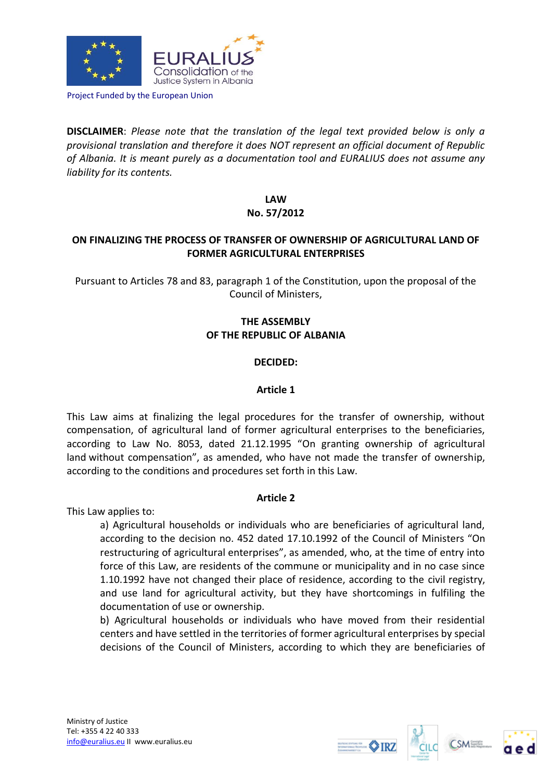

Project Funded by the European Union

**DISCLAIMER**: *Please note that the translation of the legal text provided below is only a provisional translation and therefore it does NOT represent an official document of Republic of Albania. It is meant purely as a documentation tool and EURALIUS does not assume any liability for its contents.*

> **LAW No. 57/2012**

# **ON FINALIZING THE PROCESS OF TRANSFER OF OWNERSHIP OF AGRICULTURAL LAND OF FORMER AGRICULTURAL ENTERPRISES**

Pursuant to Articles 78 and 83, paragraph 1 of the Constitution, upon the proposal of the Council of Ministers,

# **THE ASSEMBLY OF THE REPUBLIC OF ALBANIA**

### **DECIDED:**

### **Article 1**

This Law aims at finalizing the legal procedures for the transfer of ownership, without compensation, of agricultural land of former agricultural enterprises to the beneficiaries, according to Law No. 8053, dated 21.12.1995 "On granting ownership of agricultural land without compensation", as amended, who have not made the transfer of ownership, according to the conditions and procedures set forth in this Law.

# **Article 2**

This Law applies to:

a) Agricultural households or individuals who are beneficiaries of agricultural land, according to the decision no. 452 dated 17.10.1992 of the Council of Ministers "On restructuring of agricultural enterprises", as amended, who, at the time of entry into force of this Law, are residents of the commune or municipality and in no case since 1.10.1992 have not changed their place of residence, according to the civil registry, and use land for agricultural activity, but they have shortcomings in fulfiling the documentation of use or ownership.

b) Agricultural households or individuals who have moved from their residential centers and have settled in the territories of former agricultural enterprises by special decisions of the Council of Ministers, according to which they are beneficiaries of





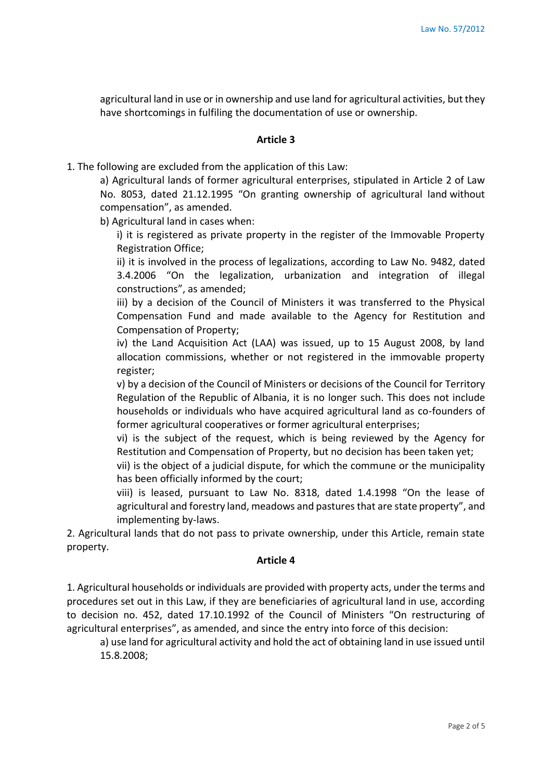agricultural land in use or in ownership and use land for agricultural activities, but they have shortcomings in fulfiling the documentation of use or ownership.

#### **Article 3**

1. The following are excluded from the application of this Law:

a) Agricultural lands of former agricultural enterprises, stipulated in Article 2 of Law No. 8053, dated 21.12.1995 "On granting ownership of agricultural land without compensation", as amended.

b) Agricultural land in cases when:

i) it is registered as private property in the register of the Immovable Property Registration Office;

ii) it is involved in the process of legalizations, according to Law No. 9482, dated 3.4.2006 "On the legalization, urbanization and integration of illegal constructions", as amended;

iii) by a decision of the Council of Ministers it was transferred to the Physical Compensation Fund and made available to the Agency for Restitution and Compensation of Property;

iv) the Land Acquisition Act (LAA) was issued, up to 15 August 2008, by land allocation commissions, whether or not registered in the immovable property register;

v) by a decision of the Council of Ministers or decisions of the Council for Territory Regulation of the Republic of Albania, it is no longer such. This does not include households or individuals who have acquired agricultural land as co-founders of former agricultural cooperatives or former agricultural enterprises;

vi) is the subject of the request, which is being reviewed by the Agency for Restitution and Compensation of Property, but no decision has been taken yet;

vii) is the object of a judicial dispute, for which the commune or the municipality has been officially informed by the court;

viii) is leased, pursuant to Law No. 8318, dated 1.4.1998 "On the lease of agricultural and forestry land, meadows and pastures that are state property", and implementing by-laws.

2. Agricultural lands that do not pass to private ownership, under this Article, remain state property.

#### **Article 4**

1. Agricultural households or individuals are provided with property acts, under the terms and procedures set out in this Law, if they are beneficiaries of agricultural land in use, according to decision no. 452, dated 17.10.1992 of the Council of Ministers "On restructuring of agricultural enterprises", as amended, and since the entry into force of this decision:

a) use land for agricultural activity and hold the act of obtaining land in use issued until 15.8.2008;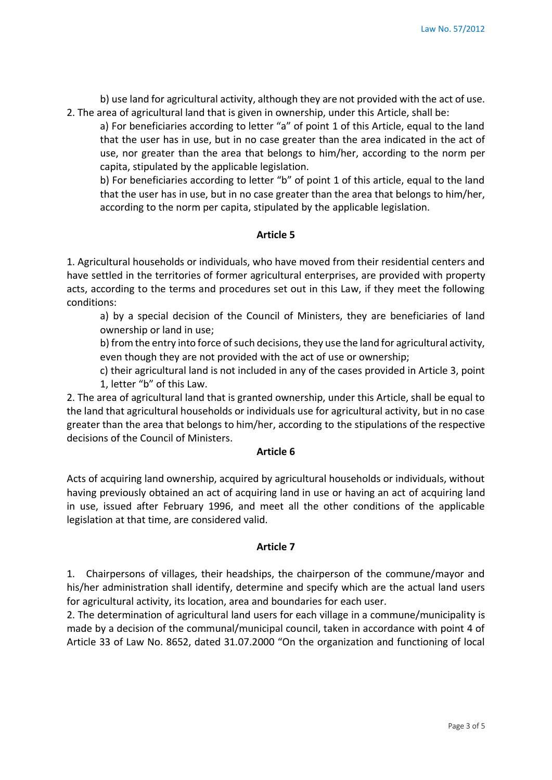b) use land for agricultural activity, although they are not provided with the act of use. 2. The area of agricultural land that is given in ownership, under this Article, shall be:

a) For beneficiaries according to letter "a" of point 1 of this Article, equal to the land that the user has in use, but in no case greater than the area indicated in the act of use, nor greater than the area that belongs to him/her, according to the norm per capita, stipulated by the applicable legislation.

b) For beneficiaries according to letter "b" of point 1 of this article, equal to the land that the user has in use, but in no case greater than the area that belongs to him/her, according to the norm per capita, stipulated by the applicable legislation.

### **Article 5**

1. Agricultural households or individuals, who have moved from their residential centers and have settled in the territories of former agricultural enterprises, are provided with property acts, according to the terms and procedures set out in this Law, if they meet the following conditions:

a) by a special decision of the Council of Ministers, they are beneficiaries of land ownership or land in use;

b) from the entry into force of such decisions, they use the land for agricultural activity, even though they are not provided with the act of use or ownership;

c) their agricultural land is not included in any of the cases provided in Article 3, point 1, letter "b" of this Law.

2. The area of agricultural land that is granted ownership, under this Article, shall be equal to the land that agricultural households or individuals use for agricultural activity, but in no case greater than the area that belongs to him/her, according to the stipulations of the respective decisions of the Council of Ministers.

### **Article 6**

Acts of acquiring land ownership, acquired by agricultural households or individuals, without having previously obtained an act of acquiring land in use or having an act of acquiring land in use, issued after February 1996, and meet all the other conditions of the applicable legislation at that time, are considered valid.

### **Article 7**

1. Chairpersons of villages, their headships, the chairperson of the commune/mayor and his/her administration shall identify, determine and specify which are the actual land users for agricultural activity, its location, area and boundaries for each user.

2. The determination of agricultural land users for each village in a commune/municipality is made by a decision of the communal/municipal council, taken in accordance with point 4 of Article 33 of Law No. 8652, dated 31.07.2000 "On the organization and functioning of local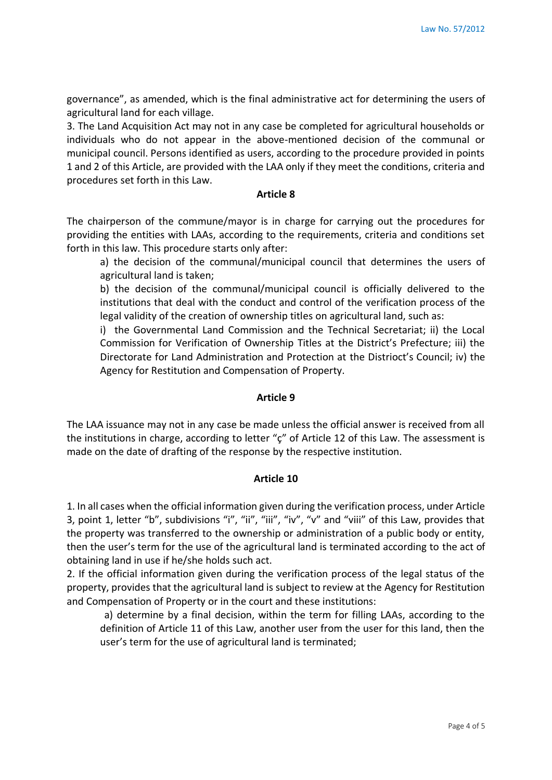governance", as amended, which is the final administrative act for determining the users of agricultural land for each village.

3. The Land Acquisition Act may not in any case be completed for agricultural households or individuals who do not appear in the above-mentioned decision of the communal or municipal council. Persons identified as users, according to the procedure provided in points 1 and 2 of this Article, are provided with the LAA only if they meet the conditions, criteria and procedures set forth in this Law.

#### **Article 8**

The chairperson of the commune/mayor is in charge for carrying out the procedures for providing the entities with LAAs, according to the requirements, criteria and conditions set forth in this law. This procedure starts only after:

a) the decision of the communal/municipal council that determines the users of agricultural land is taken;

b) the decision of the communal/municipal council is officially delivered to the institutions that deal with the conduct and control of the verification process of the legal validity of the creation of ownership titles on agricultural land, such as:

i) the Governmental Land Commission and the Technical Secretariat; ii) the Local Commission for Verification of Ownership Titles at the District's Prefecture; iii) the Directorate for Land Administration and Protection at the Distrioct's Council; iv) the Agency for Restitution and Compensation of Property.

### **Article 9**

The LAA issuance may not in any case be made unless the official answer is received from all the institutions in charge, according to letter " $\zeta$ " of Article 12 of this Law. The assessment is made on the date of drafting of the response by the respective institution.

### **Article 10**

1. In all cases when the official information given during the verification process, under Article 3, point 1, letter "b", subdivisions "i", "ii", "iii", "iv", "v" and "viii" of this Law, provides that the property was transferred to the ownership or administration of a public body or entity, then the user's term for the use of the agricultural land is terminated according to the act of obtaining land in use if he/she holds such act.

2. If the official information given during the verification process of the legal status of the property, provides that the agricultural land is subject to review at the Agency for Restitution and Compensation of Property or in the court and these institutions:

a) determine by a final decision, within the term for filling LAAs, according to the definition of Article 11 of this Law, another user from the user for this land, then the user's term for the use of agricultural land is terminated;